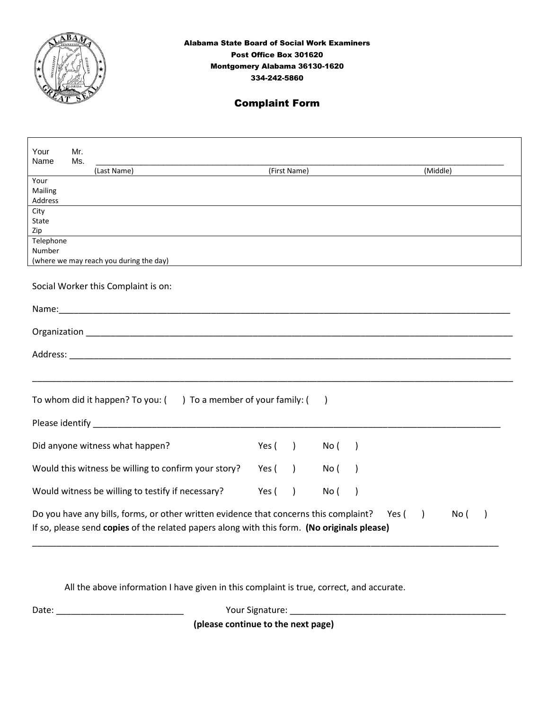

## Complaint Form

| Your<br>Name                                                                                                                                                                                                                                       | Mr.<br>Ms. | (Last Name)                                                                                                                                                                                                                    |       | (First Name)  |           |               | (Middle) |  |
|----------------------------------------------------------------------------------------------------------------------------------------------------------------------------------------------------------------------------------------------------|------------|--------------------------------------------------------------------------------------------------------------------------------------------------------------------------------------------------------------------------------|-------|---------------|-----------|---------------|----------|--|
| Your<br>Mailing<br>Address                                                                                                                                                                                                                         |            |                                                                                                                                                                                                                                |       |               |           |               |          |  |
| City<br>State<br>Zip                                                                                                                                                                                                                               |            |                                                                                                                                                                                                                                |       |               |           |               |          |  |
| Telephone<br>Number                                                                                                                                                                                                                                |            | (where we may reach you during the day)                                                                                                                                                                                        |       |               |           |               |          |  |
|                                                                                                                                                                                                                                                    |            | Social Worker this Complaint is on:                                                                                                                                                                                            |       |               |           |               |          |  |
|                                                                                                                                                                                                                                                    |            | Name: We have a state of the state of the state of the state of the state of the state of the state of the state of the state of the state of the state of the state of the state of the state of the state of the state of th |       |               |           |               |          |  |
|                                                                                                                                                                                                                                                    |            |                                                                                                                                                                                                                                |       |               |           |               |          |  |
|                                                                                                                                                                                                                                                    |            |                                                                                                                                                                                                                                |       |               |           |               |          |  |
|                                                                                                                                                                                                                                                    |            | <u> 1989 - Johann John Stone, mensk politik foar de oarste keamt fan de oarste keamt fan de oarste keamt fan de o</u>                                                                                                          |       |               |           |               |          |  |
|                                                                                                                                                                                                                                                    |            | To whom did it happen? To you: () To a member of your family: (                                                                                                                                                                |       |               | $\lambda$ |               |          |  |
|                                                                                                                                                                                                                                                    |            | Please identify experience and a series of the series of the series of the series of the series of the series of the series of the series of the series of the series of the series of the series of the series of the series  |       |               |           |               |          |  |
|                                                                                                                                                                                                                                                    |            | Did anyone witness what happen?                                                                                                                                                                                                | Yes ( | $\rightarrow$ | No (      | $\rightarrow$ |          |  |
|                                                                                                                                                                                                                                                    |            | Would this witness be willing to confirm your story?                                                                                                                                                                           | Yes ( | $\lambda$     | No (      | $\lambda$     |          |  |
|                                                                                                                                                                                                                                                    |            | Would witness be willing to testify if necessary?                                                                                                                                                                              | Yes ( | $\lambda$     | No (      | $\lambda$     |          |  |
| Do you have any bills, forms, or other written evidence that concerns this complaint?<br>Yes (<br>$\rightarrow$<br>No (<br>$\overline{\phantom{a}}$<br>If so, please send copies of the related papers along with this form. (No originals please) |            |                                                                                                                                                                                                                                |       |               |           |               |          |  |

All the above information I have given in this complaint is true, correct, and accurate.

Date: \_\_\_\_\_\_\_\_\_\_\_\_\_\_\_\_\_\_\_\_\_\_\_\_\_\_ Your Signature: \_\_\_\_\_\_\_\_\_\_\_\_\_\_\_\_\_\_\_\_\_\_\_\_\_\_\_\_\_\_\_\_\_\_\_\_\_\_\_\_\_\_\_\_

**(please continue to the next page)**